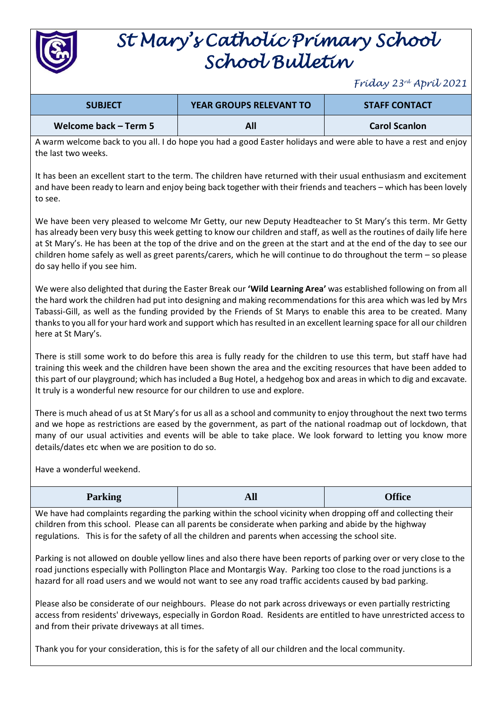

## *St Mary's Catholic Primary School School Bulletin*

## *Friday 23rd April 2021*

| <b>SUBJECT</b>        | <b>YEAR GROUPS RELEVANT TO</b> | <b>STAFF CONTACT</b> |
|-----------------------|--------------------------------|----------------------|
| Welcome back – Term 5 | All                            | <b>Carol Scanlon</b> |

A warm welcome back to you all. I do hope you had a good Easter holidays and were able to have a rest and enjoy the last two weeks.

It has been an excellent start to the term. The children have returned with their usual enthusiasm and excitement and have been ready to learn and enjoy being back together with their friends and teachers – which has been lovely to see.

We have been very pleased to welcome Mr Getty, our new Deputy Headteacher to St Mary's this term. Mr Getty has already been very busy this week getting to know our children and staff, as well as the routines of daily life here at St Mary's. He has been at the top of the drive and on the green at the start and at the end of the day to see our children home safely as well as greet parents/carers, which he will continue to do throughout the term – so please do say hello if you see him.

We were also delighted that during the Easter Break our **'Wild Learning Area'** was established following on from all the hard work the children had put into designing and making recommendations for this area which was led by Mrs Tabassi-Gill, as well as the funding provided by the Friends of St Marys to enable this area to be created. Many thanks to you all for your hard work and support which has resulted in an excellent learning space for all our children here at St Mary's.

There is still some work to do before this area is fully ready for the children to use this term, but staff have had training this week and the children have been shown the area and the exciting resources that have been added to this part of our playground; which has included a Bug Hotel, a hedgehog box and areas in which to dig and excavate. It truly is a wonderful new resource for our children to use and explore.

There is much ahead of us at St Mary's for us all as a school and community to enjoy throughout the next two terms and we hope as restrictions are eased by the government, as part of the national roadmap out of lockdown, that many of our usual activities and events will be able to take place. We look forward to letting you know more details/dates etc when we are position to do so.

Have a wonderful weekend.

| <b>Parking</b><br>$\tilde{\phantom{a}}$ | $\mathbf{v}$<br>All | <b>Office</b> |
|-----------------------------------------|---------------------|---------------|
|-----------------------------------------|---------------------|---------------|

We have had complaints regarding the parking within the school vicinity when dropping off and collecting their children from this school. Please can all parents be considerate when parking and abide by the highway regulations. This is for the safety of all the children and parents when accessing the school site.

Parking is not allowed on double yellow lines and also there have been reports of parking over or very close to the road junctions especially with Pollington Place and Montargis Way. Parking too close to the road junctions is a hazard for all road users and we would not want to see any road traffic accidents caused by bad parking.

Please also be considerate of our neighbours. Please do not park across driveways or even partially restricting access from residents' driveways, especially in Gordon Road. Residents are entitled to have unrestricted access to and from their private driveways at all times.

Thank you for your consideration, this is for the safety of all our children and the local community.